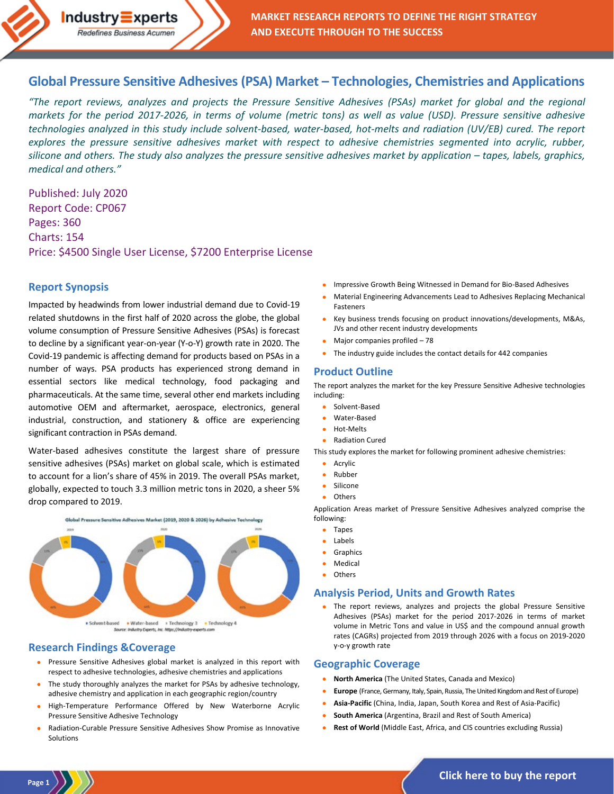# **[Global Pressure Sensitive Adhesives \(PSA\) Market –](https://industry-experts.com/verticals/chemicals-and-materials/global-pressure-sensitive-adhesives-psa-market-technologies-chemistries-and-applications) Technologies, Chemistries and Applications**

*"The report reviews, analyzes and projects the Pressure Sensitive Adhesives (PSAs) market for global and the regional markets for the period 2017-2026, in terms of volume (metric tons) as well as value (USD). Pressure sensitive adhesive technologies analyzed in this study include solvent-based, water-based, hot-melts and radiation (UV/EB) cured. The report explores the pressure sensitive adhesives market with respect to adhesive chemistries segmented into acrylic, rubber, silicone and others. The study also analyzes the pressure sensitive adhesives market by application – tapes, labels, graphics, medical and others."*

Published: July 2020 Report Code: CP067 Pages: 360 Charts: 154 Price: \$4500 Single User License, \$7200 Enterprise License

 $Industry\equiv xperts$ Redefines Business Acumen

# **Report Synopsis**

Impacted by headwinds from lower industrial demand due to Covid-19 related shutdowns in the first half of 2020 across the globe, the global volume consumption of Pressure Sensitive Adhesives (PSAs) is forecast to decline by a significant year-on-year (Y-o-Y) growth rate in 2020. The Covid-19 pandemic is affecting demand for products based on PSAs in a number of ways. PSA products has experienced strong demand in essential sectors like medical technology, food packaging and pharmaceuticals. At the same time, several other end markets including automotive OEM and aftermarket, aerospace, electronics, general industrial, construction, and stationery & office are experiencing significant contraction in PSAs demand.

Water-based adhesives constitute the largest share of pressure sensitive adhesives (PSAs) market on global scale, which is estimated to account for a lion's share of 45% in 2019. The overall PSAs market, globally, expected to touch 3.3 million metric tons in 2020, a sheer 5% drop compared to 2019.



# **Research Findings &Coverage**

- Pressure Sensitive Adhesives global market is analyzed in this report with respect to adhesive technologies, adhesive chemistries and applications
- The study thoroughly analyzes the market for PSAs by adhesive technology, adhesive chemistry and application in each geographic region/country
- High-Temperature Performance Offered by New Waterborne Acrylic Pressure Sensitive Adhesive Technology
- Radiation-Curable Pressure Sensitive Adhesives Show Promise as Innovative Solutions
- Impressive Growth Being Witnessed in Demand for Bio-Based Adhesives
- Material Engineering Advancements Lead to Adhesives Replacing Mechanical Fasteners
- Key business trends focusing on product innovations/developments, M&As, JVs and other recent industry developments
- Major companies profiled 78
- The industry guide includes the contact details for 442 companies

### **Product Outline**

The report analyzes the market for the key Pressure Sensitive Adhesive technologies including:

- Solvent-Based
- Water-Based
- Hot-Melts
- Radiation Cured

This study explores the market for following prominent adhesive chemistries:

- Acrylic
- Rubber
- Silicone
- **Others**

Application Areas market of Pressure Sensitive Adhesives analyzed comprise the following:

- Tapes
- Labels
- **Graphics**
- **Medical**
- **Others**

# **Analysis Period, Units and Growth Rates**

The report reviews, analyzes and projects the global Pressure Sensitive Adhesives (PSAs) market for the period 2017-2026 in terms of market volume in Metric Tons and value in US\$ and the compound annual growth rates (CAGRs) projected from 2019 through 2026 with a focus on 2019-2020 y-o-y growth rate

# **Geographic Coverage**

- **North America** (The United States, Canada and Mexico)
- **Europe** (France, Germany, Italy, Spain, Russia, The United Kingdom and Rest of Europe)
- **Asia-Pacific** (China, India, Japan, South Korea and Rest of Asia-Pacific)
- **South America** (Argentina, Brazil and Rest of South America)
- **Rest of World** (Middle East, Africa, and CIS countries excluding Russia)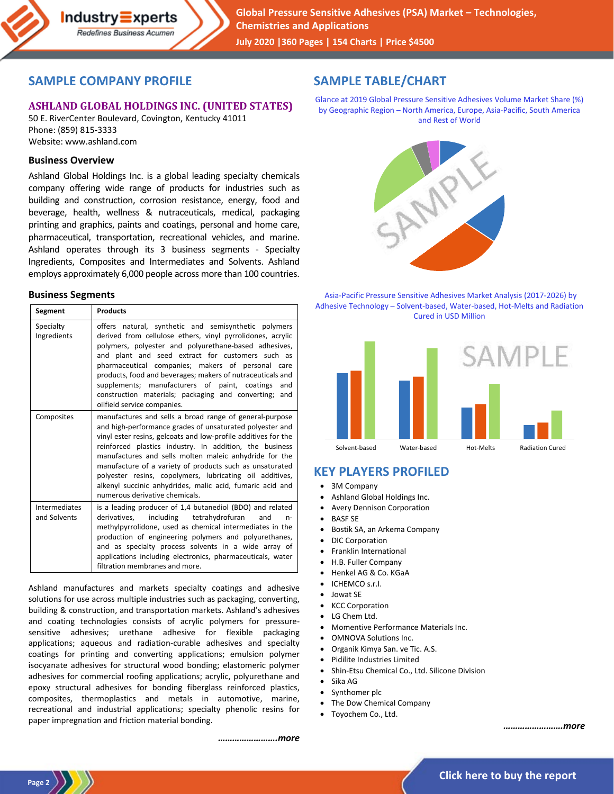

# **SAMPLE COMPANY PROFILE**

### **ASHLAND GLOBAL HOLDINGS INC. (UNITED STATES)**

50 E. RiverCenter Boulevard, Covington, Kentucky 41011 Phone: (859) 815-3333 Website: www.ashland.com

#### **Business Overview**

Ashland Global Holdings Inc. is a global leading specialty chemicals company offering wide range of products for industries such as building and construction, corrosion resistance, energy, food and beverage, health, wellness & nutraceuticals, medical, packaging printing and graphics, paints and coatings, personal and home care, pharmaceutical, transportation, recreational vehicles, and marine. Ashland operates through its 3 business segments - Specialty Ingredients, Composites and Intermediates and Solvents. Ashland employs approximately 6,000 people across more than 100 countries.

#### **Business Segments**

| Segment                              | <b>Products</b>                                                                                                                                                                                                                                                                                                                                                                                                                                                                                                                   |
|--------------------------------------|-----------------------------------------------------------------------------------------------------------------------------------------------------------------------------------------------------------------------------------------------------------------------------------------------------------------------------------------------------------------------------------------------------------------------------------------------------------------------------------------------------------------------------------|
| Specialty<br>Ingredients             | offers natural, synthetic and semisynthetic polymers<br>derived from cellulose ethers, vinyl pyrrolidones, acrylic<br>polymers, polyester and polyurethane-based adhesives,<br>and plant and seed extract for customers such as<br>pharmaceutical companies; makers of personal care<br>products, food and beverages; makers of nutraceuticals and<br>supplements; manufacturers of paint, coatings<br>and<br>construction materials; packaging and converting; and<br>oilfield service companies.                                |
| Composites                           | manufactures and sells a broad range of general-purpose<br>and high-performance grades of unsaturated polyester and<br>vinyl ester resins, gelcoats and low-profile additives for the<br>reinforced plastics industry. In addition, the business<br>manufactures and sells molten maleic anhydride for the<br>manufacture of a variety of products such as unsaturated<br>polyester resins, copolymers, lubricating oil additives,<br>alkenyl succinic anhydrides, malic acid, fumaric acid and<br>numerous derivative chemicals. |
| <b>Intermediates</b><br>and Solvents | is a leading producer of 1,4 butanediol (BDO) and related<br>derivatives, including tetrahydrofuran<br>and<br>$n-$<br>methylpyrrolidone, used as chemical intermediates in the<br>production of engineering polymers and polyurethanes,<br>and as specialty process solvents in a wide array of<br>applications including electronics, pharmaceuticals, water<br>filtration membranes and more.                                                                                                                                   |

Ashland manufactures and markets specialty coatings and adhesive solutions for use across multiple industries such as packaging, converting, building & construction, and transportation markets. Ashland's adhesives and coating technologies consists of acrylic polymers for pressuresensitive adhesives; urethane adhesive for flexible packaging applications; aqueous and radiation-curable adhesives and specialty coatings for printing and converting applications; emulsion polymer isocyanate adhesives for structural wood bonding; elastomeric polymer adhesives for commercial roofing applications; acrylic, polyurethane and epoxy structural adhesives for bonding fiberglass reinforced plastics, composites, thermoplastics and metals in automotive, marine, recreational and industrial applications; specialty phenolic resins for paper impregnation and friction material bonding.

# **SAMPLE TABLE/CHART**

Glance at 2019 Global Pressure Sensitive Adhesives Volume Market Share (%) by Geographic Region – North America, Europe, Asia-Pacific, South America and Rest of World



Asia-Pacific Pressure Sensitive Adhesives Market Analysis (2017-2026) by Adhesive Technology – Solvent-based, Water-based, Hot-Melts and Radiation Cured in USD Million



# **KEY PLAYERS PROFILED**

- 3M Company
- Ashland Global Holdings Inc.
- Avery Dennison Corporation
- **BASF SE**
- Bostik SA, an Arkema Company
- DIC Corporation
- Franklin International
- H.B. Fuller Company
- Henkel AG & Co. KGaA
- ICHEMCO s.r.l.
- Jowat SE
- KCC Corporation
- LG Chem Ltd.
- Momentive Performance Materials Inc.
- OMNOVA Solutions Inc.
- Organik Kimya San. ve Tic. A.S.
- Pidilite Industries Limited
- Shin-Etsu Chemical Co., Ltd. Silicone Division
- Sika AG
- Synthomer plc
- The Dow Chemical Company
- Toyochem Co., Ltd.

*…………………….more*

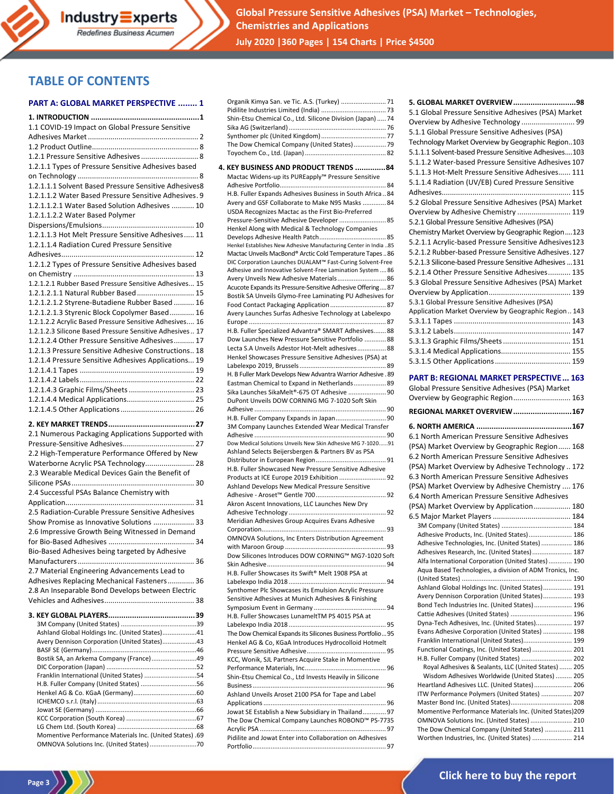

**Global Pressure Sensitive Adhesives (PSA) Market – Technologies, Chemistries and Applications July 2020 |360 Pages | 154 Charts | Price \$4500**

# **TABLE OF CONTENTS**

#### **PART A: GLOBAL MARKET PERSPECTIVE ........ 1**

| 1.1 COVID-19 Impact on Global Pressure Sensitive                                    |
|-------------------------------------------------------------------------------------|
|                                                                                     |
|                                                                                     |
| 1.2.1 Pressure Sensitive Adhesives 8                                                |
| 1.2.1.1 Types of Pressure Sensitive Adhesives based                                 |
|                                                                                     |
| 1.2.1.1.1 Solvent Based Pressure Sensitive Adhesives8                               |
| 1.2.1.1.2 Water Based Pressure Sensitive Adhesives. 9                               |
| 1.2.1.1.2.1 Water Based Solution Adhesives  10                                      |
| 1.2.1.1.2.2 Water Based Polymer                                                     |
|                                                                                     |
| 1.2.1.1.3 Hot Melt Pressure Sensitive Adhesives 11                                  |
|                                                                                     |
| 1.2.1.1.4 Radiation Cured Pressure Sensitive                                        |
|                                                                                     |
| 1.2.1.2 Types of Pressure Sensitive Adhesives based                                 |
|                                                                                     |
| 1.2.1.2.1 Rubber Based Pressure Sensitive Adhesives 15                              |
| 1.2.1.2.1.1 Natural Rubber Based 15                                                 |
| 1.2.1.2.1.2 Styrene-Butadiene Rubber Based  16                                      |
| 1.2.1.2.1.3 Styrenic Block Copolymer Based 16                                       |
| 1.2.1.2.2 Acrylic Based Pressure Sensitive Adhesives 16                             |
| 1.2.1.2.3 Silicone Based Pressure Sensitive Adhesives 17                            |
| 1.2.1.2.4 Other Pressure Sensitive Adhesives 17                                     |
| 1.2.1.3 Pressure Sensitive Adhesive Constructions 18                                |
| 1.2.1.4 Pressure Sensitive Adhesives Applications 19                                |
|                                                                                     |
|                                                                                     |
|                                                                                     |
|                                                                                     |
|                                                                                     |
|                                                                                     |
|                                                                                     |
|                                                                                     |
| 2.1 Numerous Packaging Applications Supported with                                  |
|                                                                                     |
| 2.2 High-Temperature Performance Offered by New                                     |
| Waterborne Acrylic PSA Technology 28                                                |
| 2.3 Wearable Medical Devices Gain the Benefit of                                    |
|                                                                                     |
| 2.4 Successful PSAs Balance Chemistry with                                          |
|                                                                                     |
| 2.5 Radiation-Curable Pressure Sensitive Adhesives                                  |
| Show Promise as Innovative Solutions  33                                            |
|                                                                                     |
| 2.6 Impressive Growth Being Witnessed in Demand                                     |
|                                                                                     |
| Bio-Based Adhesives being targeted by Adhesive                                      |
| 36                                                                                  |
| 2.7 Material Engineering Advancements Lead to                                       |
| Adhesives Replacing Mechanical Fasteners 36                                         |
| 2.8 An Inseparable Bond Develops between Electric                                   |
|                                                                                     |
|                                                                                     |
|                                                                                     |
| Ashland Global Holdings Inc. (United States)41                                      |
| Avery Dennison Corporation (United States)43                                        |
|                                                                                     |
| Bostik SA, an Arkema Company (France)49                                             |
|                                                                                     |
| Franklin International (United States) 54<br>H.B. Fuller Company (United States) 56 |

| The Dow Chemical Company (United States) 79                                                                             |
|-------------------------------------------------------------------------------------------------------------------------|
| 4. KEY BUSINESS AND PRODUCT TRENDS 84                                                                                   |
| Mactac Widens-up its PUREapply™ Pressure Sensitive                                                                      |
|                                                                                                                         |
| H.B. Fuller Expands Adhesives Business in South Africa84                                                                |
| Avery and GSF Collaborate to Make N95 Masks  84                                                                         |
| USDA Recognizes Mactac as the First Bio-Preferred<br>Pressure-Sensitive Adhesive Developer  85                          |
| Henkel Along with Medical & Technology Companies                                                                        |
|                                                                                                                         |
| Henkel Establishes New Adhesive Manufacturing Center in India 85                                                        |
| Mactac Unveils MacBond® Arctic Cold Temperature Tapes 86                                                                |
| DIC Corporation Launches DUALAM™ Fast-Curing Solvent-Free<br>Adhesive and Innovative Solvent-Free Lamination System  86 |
| Avery Unveils New Adhesive Materials 86                                                                                 |
| Acucote Expands its Pressure-Sensitive Adhesive Offering87                                                              |
| Bostik SA Unveils Glymo-Free Laminating PU Adhesives for                                                                |
| Food Contact Packaging Application  87                                                                                  |
| Avery Launches Surfas Adhesive Technology at Labelexpo                                                                  |
|                                                                                                                         |
| H.B. Fuller Specialized Advantra® SMART Adhesives 88                                                                    |
| Dow Launches New Pressure Sensitive Portfolio  88                                                                       |
| Lecta S.A Unveils Adestor Hot-Melt adhesives 88<br>Henkel Showcases Pressure Sensitive Adhesives (PSA) at               |
|                                                                                                                         |
| H. B Fuller Mark Develops New Advantra Warrior Adhesive . 89                                                            |
| Eastman Chemical to Expand in Netherlands 89                                                                            |
| Sika Launches SikaMelt®-675 OT Adhesive  90                                                                             |
| DuPont Unveils DOW CORNING MG 7-1020 Soft Skin                                                                          |
|                                                                                                                         |
| H.B. Fuller Company Expands in Japan 90<br>3M Company Launches Extended Wear Medical Transfer                           |
|                                                                                                                         |
| Dow Medical Solutions Unveils New Skin Adhesive MG 7-102091                                                             |
| Ashland Selects Beijersbergen & Partners BV as PSA                                                                      |
|                                                                                                                         |
| H.B. Fuller Showcased New Pressure Sensitive Adhesive                                                                   |
| Products at ICE Europe 2019 Exhibition  92<br>Ashland Develops New Medical Pressure Sensitive                           |
|                                                                                                                         |
| Akron Ascent Innovations, LLC Launches New Dry                                                                          |
|                                                                                                                         |
| Meridian Adhesives Group Acquires Evans Adhesive                                                                        |
|                                                                                                                         |
| OMNOVA Solutions, Inc Enters Distribution Agreement                                                                     |
|                                                                                                                         |
| Dow Silicones Introduces DOW CORNING™ MG7-1020 Soft                                                                     |
| H.B. Fuller Showcases its Swift® Melt 1908 PSA at                                                                       |
|                                                                                                                         |
| Synthomer Plc Showcases its Emulsion Acrylic Pressure                                                                   |
| Sensitive Adhesives at Munich Adhesives & Finishing                                                                     |
|                                                                                                                         |
| H.B. Fuller Showcases LunameltTM PS 4015 PSA at                                                                         |
| The Dow Chemical Expands its Silicones Business Portfolio 95                                                            |
| Henkel AG & Co, KGaA Introduces Hydrocolloid Hotmelt                                                                    |
|                                                                                                                         |
| KCC, Wonik, SJL Partners Acquire Stake in Momentive                                                                     |
|                                                                                                                         |
| Shin-Etsu Chemical Co., Ltd Invests Heavily in Silicone                                                                 |
|                                                                                                                         |
| Ashland Unveils Aroset 2100 PSA for Tape and Label                                                                      |

Organik Kimya San. ve Tic. A.S. (Turkey) .........................71 Pidilite Industries Limited (India) .................................... 73 Shin-Etsu Chemical Co., Ltd. Silicone Division (Japan).....74 Sika AG (Switzerland)...................................................... 76 Synthomer plc (United Kingdom).................................... 77

Applications.................................................................... 96 Jowat SE Establish a New Subsidiary in Thailand.............97 The Dow Chemical Company Launches ROBOND™ PS-7735 Acrylic PSA ...................................................................... 97 Pidilite and Jowat Enter into Collaboration on Adhesives Portfolio.......................................................................... 97

| Overview by Adhesive Technology  99                     |  |
|---------------------------------------------------------|--|
| 5.1.1 Global Pressure Sensitive Adhesives (PSA)         |  |
| Technology Market Overview by Geographic Region103      |  |
| 5.1.1.1 Solvent-based Pressure Sensitive Adhesives103   |  |
| 5.1.1.2 Water-based Pressure Sensitive Adhesives 107    |  |
| 5.1.1.3 Hot-Melt Pressure Sensitive Adhesives 111       |  |
| 5.1.1.4 Radiation (UV/EB) Cured Pressure Sensitive      |  |
|                                                         |  |
| 5.2 Global Pressure Sensitive Adhesives (PSA) Market    |  |
| Overview by Adhesive Chemistry  119                     |  |
| 5.2.1 Global Pressure Sensitive Adhesives (PSA)         |  |
| Chemistry Market Overview by Geographic Region123       |  |
| 5.2.1.1 Acrylic-based Pressure Sensitive Adhesives123   |  |
| 5.2.1.2 Rubber-based Pressure Sensitive Adhesives. 127  |  |
| 5.2.1.3 Silicone-based Pressure Sensitive Adhesives 131 |  |
| 5.2.1.4 Other Pressure Sensitive Adhesives 135          |  |
| 5.3 Global Pressure Sensitive Adhesives (PSA) Market    |  |
|                                                         |  |
| 5.3.1 Global Pressure Sensitive Adhesives (PSA)         |  |
| Application Market Overview by Geographic Region 143    |  |
|                                                         |  |
|                                                         |  |
| 5.3.1.3 Graphic Films/Sheets  151                       |  |
| 5.3.1.4 Medical Applications 155                        |  |
|                                                         |  |
| <b>PART B: REGIONAL MARKET PERSPECTIVE 163</b>          |  |
| Global Pressure Sensitive Adhesives (PSA) Market        |  |
| Overview by Geographic Region 163                       |  |
| REGIONAL MARKET OVERVIEW 167                            |  |
|                                                         |  |
| 6.1 North American Pressure Sensitive Adhesives         |  |
| (PSA) Market Overview by Geographic Region<br>168       |  |
|                                                         |  |

**5. GLOBAL MARKET OVERVIEW.............................98** 5.1 Global Pressure Sensitive Adhesives (PSA) Market

| 0.1 NOI (1) AMERICAN PRESSURE SENSITIVE AUNESIVES                                          |
|--------------------------------------------------------------------------------------------|
| (PSA) Market Overview by Geographic Region 168                                             |
| 6.2 North American Pressure Sensitive Adhesives                                            |
| (PSA) Market Overview by Adhesive Technology  172                                          |
| 6.3 North American Pressure Sensitive Adhesives                                            |
| (PSA) Market Overview by Adhesive Chemistry  176                                           |
| 6.4 North American Pressure Sensitive Adhesives                                            |
| (PSA) Market Overview by Application 180                                                   |
|                                                                                            |
|                                                                                            |
| Adhesive Products, Inc. (United States) 186                                                |
| Adhesive Technologies, Inc. (United States) 186                                            |
| Adhesives Research, Inc. (United States) 187                                               |
| Alfa International Corporation (United States) 190                                         |
| Aqua Based Technologies, a division of ADM Tronics, Inc.                                   |
|                                                                                            |
| Ashland Global Holdings Inc. (United States) 191                                           |
| Avery Dennison Corporation (United States) 193                                             |
| Bond Tech Industries Inc. (United States) 196                                              |
| Cattie Adhesives (United States)  196                                                      |
| Dyna-Tech Adhesives, Inc. (United States) 197                                              |
| Evans Adhesive Corporation (United States)  198                                            |
| Franklin International (United States) 199                                                 |
| Functional Coatings, Inc. (United States)  201<br>H.B. Fuller Company (United States)  202 |
| Royal Adhesives & Sealants, LLC (United States)  205                                       |
| Wisdom Adhesives Worldwide (United States)  205                                            |
| Heartland Adhesives LLC. (United States) 206                                               |
| ITW Performance Polymers (United States)  207                                              |
| Master Bond Inc. (United States) 208                                                       |
| Momentive Performance Materials Inc. (United States)209                                    |
| OMNOVA Solutions Inc. (United States)  210                                                 |
| The Dow Chemical Company (United States)  211                                              |
| Worthen Industries, Inc. (United States)  214                                              |

ICHEMCO s.r.l. (Italy).......................................................63 Jowat SE (Germany) ........................................................66 KCC Corporation (South Korea) .......................................67 LG Chem Ltd. (South Korea) ............................................68 Momentive Performance Materials Inc. (United States) .69 OMNOVA Solutions Inc. (United States)..........................70

**Page 3**